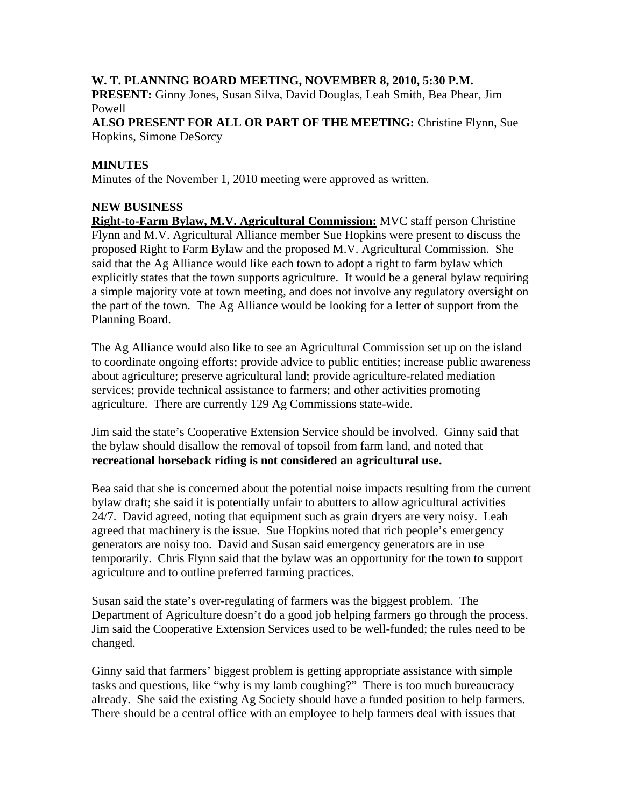## **W. T. PLANNING BOARD MEETING, NOVEMBER 8, 2010, 5:30 P.M.**

**PRESENT:** Ginny Jones, Susan Silva, David Douglas, Leah Smith, Bea Phear, Jim Powell

**ALSO PRESENT FOR ALL OR PART OF THE MEETING:** Christine Flynn, Sue Hopkins, Simone DeSorcy

## **MINUTES**

Minutes of the November 1, 2010 meeting were approved as written.

## **NEW BUSINESS**

**Right-to-Farm Bylaw, M.V. Agricultural Commission:** MVC staff person Christine Flynn and M.V. Agricultural Alliance member Sue Hopkins were present to discuss the proposed Right to Farm Bylaw and the proposed M.V. Agricultural Commission. She said that the Ag Alliance would like each town to adopt a right to farm bylaw which explicitly states that the town supports agriculture. It would be a general bylaw requiring a simple majority vote at town meeting, and does not involve any regulatory oversight on the part of the town. The Ag Alliance would be looking for a letter of support from the Planning Board.

The Ag Alliance would also like to see an Agricultural Commission set up on the island to coordinate ongoing efforts; provide advice to public entities; increase public awareness about agriculture; preserve agricultural land; provide agriculture-related mediation services; provide technical assistance to farmers; and other activities promoting agriculture. There are currently 129 Ag Commissions state-wide.

Jim said the state's Cooperative Extension Service should be involved. Ginny said that the bylaw should disallow the removal of topsoil from farm land, and noted that **recreational horseback riding is not considered an agricultural use.** 

Bea said that she is concerned about the potential noise impacts resulting from the current bylaw draft; she said it is potentially unfair to abutters to allow agricultural activities 24/7. David agreed, noting that equipment such as grain dryers are very noisy. Leah agreed that machinery is the issue. Sue Hopkins noted that rich people's emergency generators are noisy too. David and Susan said emergency generators are in use temporarily. Chris Flynn said that the bylaw was an opportunity for the town to support agriculture and to outline preferred farming practices.

Susan said the state's over-regulating of farmers was the biggest problem. The Department of Agriculture doesn't do a good job helping farmers go through the process. Jim said the Cooperative Extension Services used to be well-funded; the rules need to be changed.

Ginny said that farmers' biggest problem is getting appropriate assistance with simple tasks and questions, like "why is my lamb coughing?" There is too much bureaucracy already. She said the existing Ag Society should have a funded position to help farmers. There should be a central office with an employee to help farmers deal with issues that